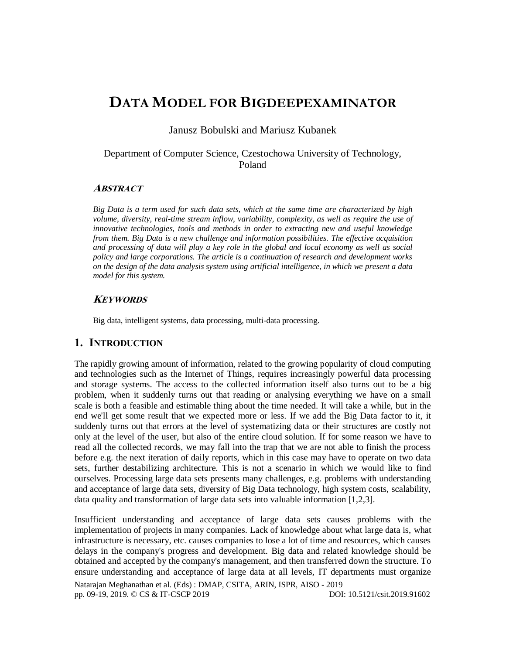# **DATA MODEL FOR BIGDEEPEXAMINATOR**

Janusz Bobulski and Mariusz Kubanek

# Department of Computer Science, Czestochowa University of Technology, Poland

# **ABSTRACT**

*Big Data is a term used for such data sets, which at the same time are characterized by high volume, diversity, real-time stream inflow, variability, complexity, as well as require the use of innovative technologies, tools and methods in order to extracting new and useful knowledge from them. Big Data is a new challenge and information possibilities. The effective acquisition and processing of data will play a key role in the global and local economy as well as social policy and large corporations. The article is a continuation of research and development works on the design of the data analysis system using artificial intelligence, in which we present a data model for this system.*

## **KEYWORDS**

Big data, intelligent systems, data processing, multi-data processing.

# **1. INTRODUCTION**

The rapidly growing amount of information, related to the growing popularity of cloud computing and technologies such as the Internet of Things, requires increasingly powerful data processing and storage systems. The access to the collected information itself also turns out to be a big problem, when it suddenly turns out that reading or analysing everything we have on a small scale is both a feasible and estimable thing about the time needed. It will take a while, but in the end we'll get some result that we expected more or less. If we add the Big Data factor to it, it suddenly turns out that errors at the level of systematizing data or their structures are costly not only at the level of the user, but also of the entire cloud solution. If for some reason we have to read all the collected records, we may fall into the trap that we are not able to finish the process before e.g. the next iteration of daily reports, which in this case may have to operate on two data sets, further destabilizing architecture. This is not a scenario in which we would like to find ourselves. Processing large data sets presents many challenges, e.g. problems with understanding and acceptance of large data sets, diversity of Big Data technology, high system costs, scalability, data quality and transformation of large data sets into valuable information [1,2,3].

Insufficient understanding and acceptance of large data sets causes problems with the implementation of projects in many companies. Lack of knowledge about what large data is, what infrastructure is necessary, etc. causes companies to lose a lot of time and resources, which causes delays in the company's progress and development. Big data and related knowledge should be obtained and accepted by the company's management, and then transferred down the structure. To ensure understanding and acceptance of large data at all levels, IT departments must organize

Natarajan Meghanathan et al. (Eds) : DMAP, CSITA, ARIN, ISPR, AISO - 2019 pp. 09-19, 2019. © CS & IT-CSCP 2019 DOI: 10.5121/csit.2019.91602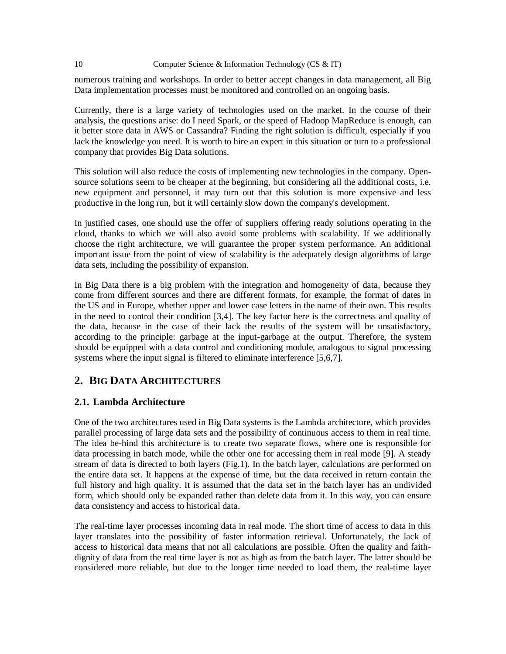numerous training and workshops. In order to better accept changes in data management, all Big Data implementation processes must be monitored and controlled on an ongoing basis.

Currently, there is a large variety of technologies used on the market. In the course of their analysis, the questions arise: do I need Spark, or the speed of Hadoop MapReduce is enough, can it better store data in AWS or Cassandra? Finding the right solution is difficult, especially if you lack the knowledge you need. It is worth to hire an expert in this situation or turn to a professional company that provides Big Data solutions.

This solution will also reduce the costs of implementing new technologies in the company. Opensource solutions seem to be cheaper at the beginning, but considering all the additional costs, i.e. new equipment and personnel, it may turn out that this solution is more expensive and less productive in the long run, but it will certainly slow down the company's development.

In justified cases, one should use the offer of suppliers offering ready solutions operating in the cloud, thanks to which we will also avoid some problems with scalability. If we additionally choose the right architecture, we will guarantee the proper system performance. An additional important issue from the point of view of scalability is the adequately design algorithms of large data sets, including the possibility of expansion.

In Big Data there is a big problem with the integration and homogeneity of data, because they come from different sources and there are different formats, for example, the format of dates in the US and in Europe, whether upper and lower case letters in the name of their own. This results in the need to control their condition [3,4]. The key factor here is the correctness and quality of the data, because in the case of their lack the results of the system will be unsatisfactory, according to the principle: garbage at the input-garbage at the output. Therefore, the system should be equipped with a data control and conditioning module, analogous to signal processing systems where the input signal is filtered to eliminate interference [5,6,7].

# **2. BIG DATA ARCHITECTURES**

# **2.1. Lambda Architecture**

One of the two architectures used in Big Data systems is the Lambda architecture, which provides parallel processing of large data sets and the possibility of continuous access to them in real time. The idea be-hind this architecture is to create two separate flows, where one is responsible for data processing in batch mode, while the other one for accessing them in real mode [9]. A steady stream of data is directed to both layers (Fig.1). In the batch layer, calculations are performed on the entire data set. It happens at the expense of time, but the data received in return contain the full history and high quality. It is assumed that the data set in the batch layer has an undivided form, which should only be expanded rather than delete data from it. In this way, you can ensure data consistency and access to historical data.

The real-time layer processes incoming data in real mode. The short time of access to data in this layer translates into the possibility of faster information retrieval. Unfortunately, the lack of access to historical data means that not all calculations are possible. Often the quality and faithdignity of data from the real time layer is not as high as from the batch layer. The latter should be considered more reliable, but due to the longer time needed to load them, the real-time layer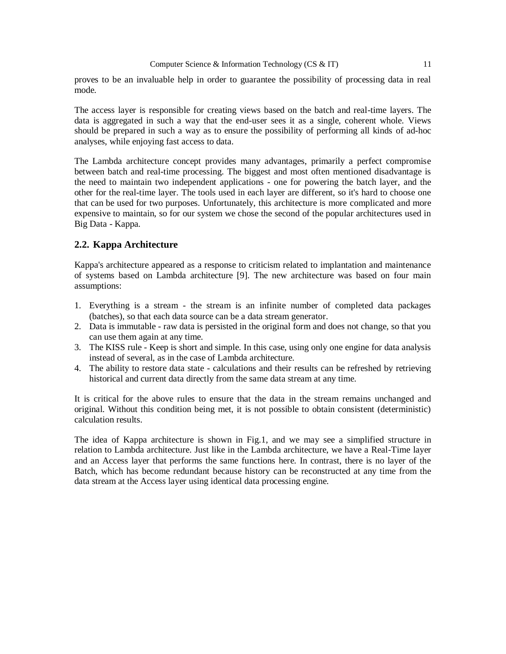proves to be an invaluable help in order to guarantee the possibility of processing data in real mode.

The access layer is responsible for creating views based on the batch and real-time layers. The data is aggregated in such a way that the end-user sees it as a single, coherent whole. Views should be prepared in such a way as to ensure the possibility of performing all kinds of ad-hoc analyses, while enjoying fast access to data.

The Lambda architecture concept provides many advantages, primarily a perfect compromise between batch and real-time processing. The biggest and most often mentioned disadvantage is the need to maintain two independent applications - one for powering the batch layer, and the other for the real-time layer. The tools used in each layer are different, so it's hard to choose one that can be used for two purposes. Unfortunately, this architecture is more complicated and more expensive to maintain, so for our system we chose the second of the popular architectures used in Big Data - Kappa.

# **2.2. Kappa Architecture**

Kappa's architecture appeared as a response to criticism related to implantation and maintenance of systems based on Lambda architecture [9]. The new architecture was based on four main assumptions:

- 1. Everything is a stream the stream is an infinite number of completed data packages (batches), so that each data source can be a data stream generator.
- 2. Data is immutable raw data is persisted in the original form and does not change, so that you can use them again at any time.
- 3. The KISS rule Keep is short and simple. In this case, using only one engine for data analysis instead of several, as in the case of Lambda architecture.
- 4. The ability to restore data state calculations and their results can be refreshed by retrieving historical and current data directly from the same data stream at any time.

It is critical for the above rules to ensure that the data in the stream remains unchanged and original. Without this condition being met, it is not possible to obtain consistent (deterministic) calculation results.

The idea of Kappa architecture is shown in Fig.1, and we may see a simplified structure in relation to Lambda architecture. Just like in the Lambda architecture, we have a Real-Time layer and an Access layer that performs the same functions here. In contrast, there is no layer of the Batch, which has become redundant because history can be reconstructed at any time from the data stream at the Access layer using identical data processing engine.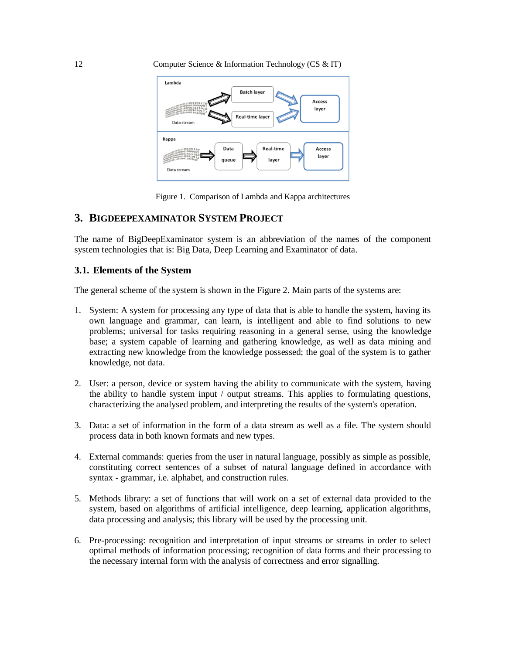

Figure 1. Comparison of Lambda and Kappa architectures

# **3. BIGDEEPEXAMINATOR SYSTEM PROJECT**

The name of BigDeepExaminator system is an abbreviation of the names of the component system technologies that is: Big Data, Deep Learning and Examinator of data.

## **3.1. Elements of the System**

The general scheme of the system is shown in the Figure 2. Main parts of the systems are:

- 1. System: A system for processing any type of data that is able to handle the system, having its own language and grammar, can learn, is intelligent and able to find solutions to new problems; universal for tasks requiring reasoning in a general sense, using the knowledge base; a system capable of learning and gathering knowledge, as well as data mining and extracting new knowledge from the knowledge possessed; the goal of the system is to gather knowledge, not data.
- 2. User: a person, device or system having the ability to communicate with the system, having the ability to handle system input / output streams. This applies to formulating questions, characterizing the analysed problem, and interpreting the results of the system's operation.
- 3. Data: a set of information in the form of a data stream as well as a file. The system should process data in both known formats and new types.
- 4. External commands: queries from the user in natural language, possibly as simple as possible, constituting correct sentences of a subset of natural language defined in accordance with syntax - grammar, i.e. alphabet, and construction rules.
- 5. Methods library: a set of functions that will work on a set of external data provided to the system, based on algorithms of artificial intelligence, deep learning, application algorithms, data processing and analysis; this library will be used by the processing unit.
- 6. Pre-processing: recognition and interpretation of input streams or streams in order to select optimal methods of information processing; recognition of data forms and their processing to the necessary internal form with the analysis of correctness and error signalling.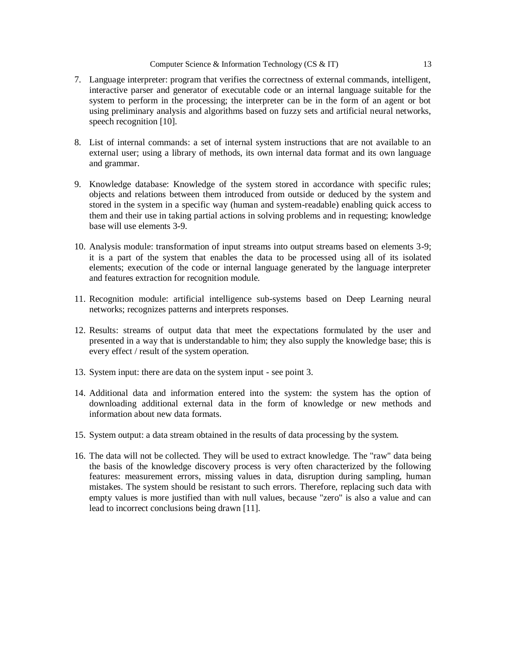- 7. Language interpreter: program that verifies the correctness of external commands, intelligent, interactive parser and generator of executable code or an internal language suitable for the system to perform in the processing; the interpreter can be in the form of an agent or bot using preliminary analysis and algorithms based on fuzzy sets and artificial neural networks, speech recognition [10].
- 8. List of internal commands: a set of internal system instructions that are not available to an external user; using a library of methods, its own internal data format and its own language and grammar.
- 9. Knowledge database: Knowledge of the system stored in accordance with specific rules; objects and relations between them introduced from outside or deduced by the system and stored in the system in a specific way (human and system-readable) enabling quick access to them and their use in taking partial actions in solving problems and in requesting; knowledge base will use elements 3-9.
- 10. Analysis module: transformation of input streams into output streams based on elements 3-9; it is a part of the system that enables the data to be processed using all of its isolated elements; execution of the code or internal language generated by the language interpreter and features extraction for recognition module.
- 11. Recognition module: artificial intelligence sub-systems based on Deep Learning neural networks; recognizes patterns and interprets responses.
- 12. Results: streams of output data that meet the expectations formulated by the user and presented in a way that is understandable to him; they also supply the knowledge base; this is every effect / result of the system operation.
- 13. System input: there are data on the system input see point 3.
- 14. Additional data and information entered into the system: the system has the option of downloading additional external data in the form of knowledge or new methods and information about new data formats.
- 15. System output: a data stream obtained in the results of data processing by the system.
- 16. The data will not be collected. They will be used to extract knowledge. The "raw" data being the basis of the knowledge discovery process is very often characterized by the following features: measurement errors, missing values in data, disruption during sampling, human mistakes. The system should be resistant to such errors. Therefore, replacing such data with empty values is more justified than with null values, because "zero" is also a value and can lead to incorrect conclusions being drawn [11].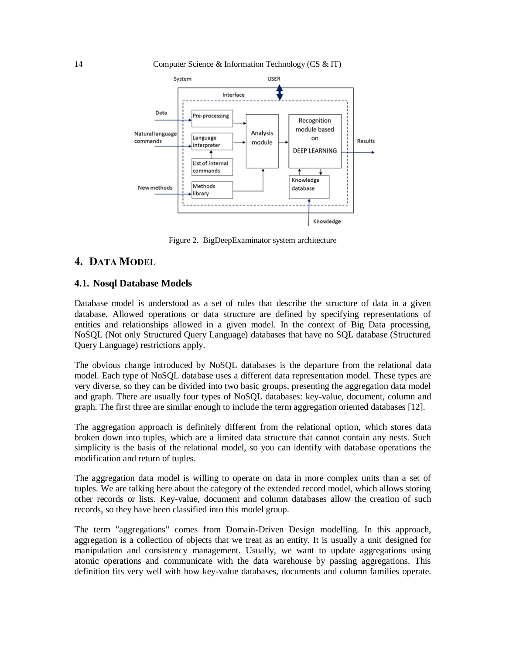

Figure 2. BigDeepExaminator system architecture

# **4. DATA MODEL**

### **4.1. Nosql Database Models**

Database model is understood as a set of rules that describe the structure of data in a given database. Allowed operations or data structure are defined by specifying representations of entities and relationships allowed in a given model. In the context of Big Data processing, NoSQL (Not only Structured Query Language) databases that have no SQL database (Structured Query Language) restrictions apply.

The obvious change introduced by NoSQL databases is the departure from the relational data model. Each type of NoSQL database uses a different data representation model. These types are very diverse, so they can be divided into two basic groups, presenting the aggregation data model and graph. There are usually four types of NoSQL databases: key-value, document, column and graph. The first three are similar enough to include the term aggregation oriented databases [12].

The aggregation approach is definitely different from the relational option, which stores data broken down into tuples, which are a limited data structure that cannot contain any nests. Such simplicity is the basis of the relational model, so you can identify with database operations the modification and return of tuples.

The aggregation data model is willing to operate on data in more complex units than a set of tuples. We are talking here about the category of the extended record model, which allows storing other records or lists. Key-value, document and column databases allow the creation of such records, so they have been classified into this model group.

The term "aggregations" comes from Domain-Driven Design modelling. In this approach, aggregation is a collection of objects that we treat as an entity. It is usually a unit designed for manipulation and consistency management. Usually, we want to update aggregations using atomic operations and communicate with the data warehouse by passing aggregations. This definition fits very well with how key-value databases, documents and column families operate.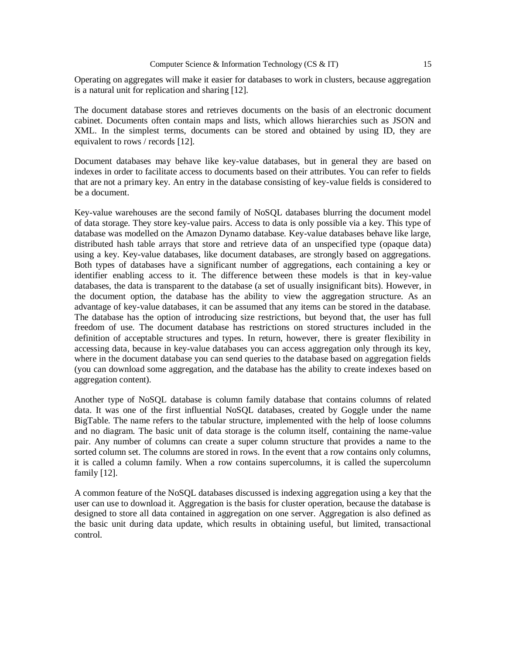Operating on aggregates will make it easier for databases to work in clusters, because aggregation is a natural unit for replication and sharing [12].

The document database stores and retrieves documents on the basis of an electronic document cabinet. Documents often contain maps and lists, which allows hierarchies such as JSON and XML. In the simplest terms, documents can be stored and obtained by using ID, they are equivalent to rows / records [12].

Document databases may behave like key-value databases, but in general they are based on indexes in order to facilitate access to documents based on their attributes. You can refer to fields that are not a primary key. An entry in the database consisting of key-value fields is considered to be a document.

Key-value warehouses are the second family of NoSQL databases blurring the document model of data storage. They store key-value pairs. Access to data is only possible via a key. This type of database was modelled on the Amazon Dynamo database. Key-value databases behave like large, distributed hash table arrays that store and retrieve data of an unspecified type (opaque data) using a key. Key-value databases, like document databases, are strongly based on aggregations. Both types of databases have a significant number of aggregations, each containing a key or identifier enabling access to it. The difference between these models is that in key-value databases, the data is transparent to the database (a set of usually insignificant bits). However, in the document option, the database has the ability to view the aggregation structure. As an advantage of key-value databases, it can be assumed that any items can be stored in the database. The database has the option of introducing size restrictions, but beyond that, the user has full freedom of use. The document database has restrictions on stored structures included in the definition of acceptable structures and types. In return, however, there is greater flexibility in accessing data, because in key-value databases you can access aggregation only through its key, where in the document database you can send queries to the database based on aggregation fields (you can download some aggregation, and the database has the ability to create indexes based on aggregation content).

Another type of NoSQL database is column family database that contains columns of related data. It was one of the first influential NoSQL databases, created by Goggle under the name BigTable. The name refers to the tabular structure, implemented with the help of loose columns and no diagram. The basic unit of data storage is the column itself, containing the name-value pair. Any number of columns can create a super column structure that provides a name to the sorted column set. The columns are stored in rows. In the event that a row contains only columns, it is called a column family. When a row contains supercolumns, it is called the supercolumn family [12].

A common feature of the NoSQL databases discussed is indexing aggregation using a key that the user can use to download it. Aggregation is the basis for cluster operation, because the database is designed to store all data contained in aggregation on one server. Aggregation is also defined as the basic unit during data update, which results in obtaining useful, but limited, transactional control.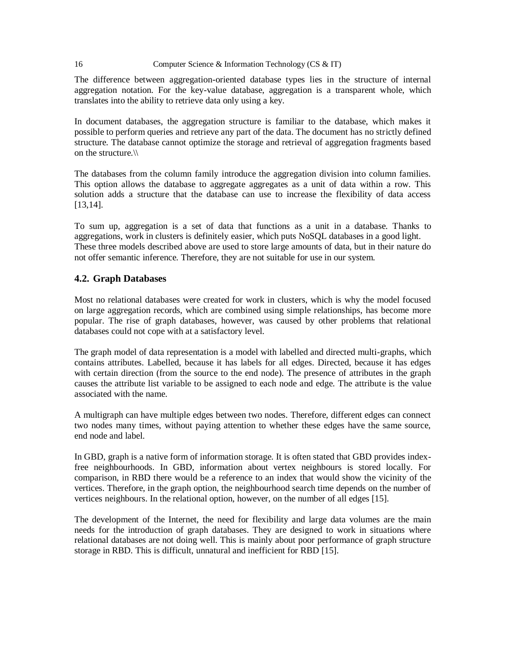The difference between aggregation-oriented database types lies in the structure of internal aggregation notation. For the key-value database, aggregation is a transparent whole, which translates into the ability to retrieve data only using a key.

In document databases, the aggregation structure is familiar to the database, which makes it possible to perform queries and retrieve any part of the data. The document has no strictly defined structure. The database cannot optimize the storage and retrieval of aggregation fragments based on the structure.\\

The databases from the column family introduce the aggregation division into column families. This option allows the database to aggregate aggregates as a unit of data within a row. This solution adds a structure that the database can use to increase the flexibility of data access [13,14].

To sum up, aggregation is a set of data that functions as a unit in a database. Thanks to aggregations, work in clusters is definitely easier, which puts NoSQL databases in a good light. These three models described above are used to store large amounts of data, but in their nature do not offer semantic inference. Therefore, they are not suitable for use in our system.

## **4.2. Graph Databases**

Most no relational databases were created for work in clusters, which is why the model focused on large aggregation records, which are combined using simple relationships, has become more popular. The rise of graph databases, however, was caused by other problems that relational databases could not cope with at a satisfactory level.

The graph model of data representation is a model with labelled and directed multi-graphs, which contains attributes. Labelled, because it has labels for all edges. Directed, because it has edges with certain direction (from the source to the end node). The presence of attributes in the graph causes the attribute list variable to be assigned to each node and edge. The attribute is the value associated with the name.

A multigraph can have multiple edges between two nodes. Therefore, different edges can connect two nodes many times, without paying attention to whether these edges have the same source, end node and label.

In GBD, graph is a native form of information storage. It is often stated that GBD provides indexfree neighbourhoods. In GBD, information about vertex neighbours is stored locally. For comparison, in RBD there would be a reference to an index that would show the vicinity of the vertices. Therefore, in the graph option, the neighbourhood search time depends on the number of vertices neighbours. In the relational option, however, on the number of all edges [15].

The development of the Internet, the need for flexibility and large data volumes are the main needs for the introduction of graph databases. They are designed to work in situations where relational databases are not doing well. This is mainly about poor performance of graph structure storage in RBD. This is difficult, unnatural and inefficient for RBD [15].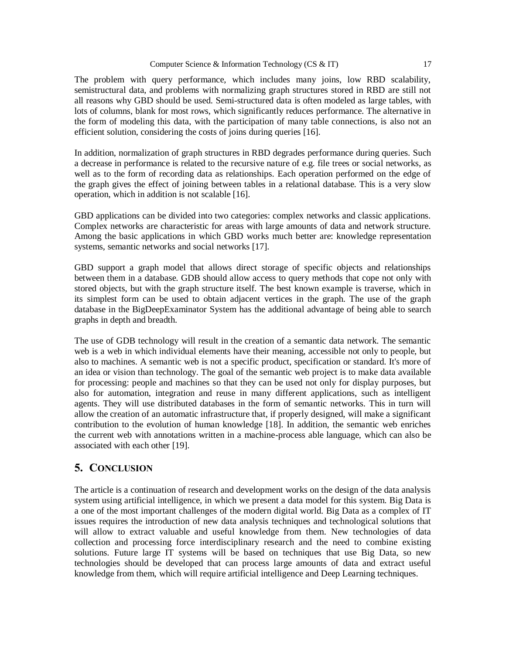The problem with query performance, which includes many joins, low RBD scalability, semistructural data, and problems with normalizing graph structures stored in RBD are still not all reasons why GBD should be used. Semi-structured data is often modeled as large tables, with lots of columns, blank for most rows, which significantly reduces performance. The alternative in the form of modeling this data, with the participation of many table connections, is also not an efficient solution, considering the costs of joins during queries [16].

In addition, normalization of graph structures in RBD degrades performance during queries. Such a decrease in performance is related to the recursive nature of e.g. file trees or social networks, as well as to the form of recording data as relationships. Each operation performed on the edge of the graph gives the effect of joining between tables in a relational database. This is a very slow operation, which in addition is not scalable [16].

GBD applications can be divided into two categories: complex networks and classic applications. Complex networks are characteristic for areas with large amounts of data and network structure. Among the basic applications in which GBD works much better are: knowledge representation systems, semantic networks and social networks [17].

GBD support a graph model that allows direct storage of specific objects and relationships between them in a database. GDB should allow access to query methods that cope not only with stored objects, but with the graph structure itself. The best known example is traverse, which in its simplest form can be used to obtain adjacent vertices in the graph. The use of the graph database in the BigDeepExaminator System has the additional advantage of being able to search graphs in depth and breadth.

The use of GDB technology will result in the creation of a semantic data network. The semantic web is a web in which individual elements have their meaning, accessible not only to people, but also to machines. A semantic web is not a specific product, specification or standard. It's more of an idea or vision than technology. The goal of the semantic web project is to make data available for processing: people and machines so that they can be used not only for display purposes, but also for automation, integration and reuse in many different applications, such as intelligent agents. They will use distributed databases in the form of semantic networks. This in turn will allow the creation of an automatic infrastructure that, if properly designed, will make a significant contribution to the evolution of human knowledge [18]. In addition, the semantic web enriches the current web with annotations written in a machine-process able language, which can also be associated with each other [19].

# **5. CONCLUSION**

The article is a continuation of research and development works on the design of the data analysis system using artificial intelligence, in which we present a data model for this system. Big Data is a one of the most important challenges of the modern digital world. Big Data as a complex of IT issues requires the introduction of new data analysis techniques and technological solutions that will allow to extract valuable and useful knowledge from them. New technologies of data collection and processing force interdisciplinary research and the need to combine existing solutions. Future large IT systems will be based on techniques that use Big Data, so new technologies should be developed that can process large amounts of data and extract useful knowledge from them, which will require artificial intelligence and Deep Learning techniques.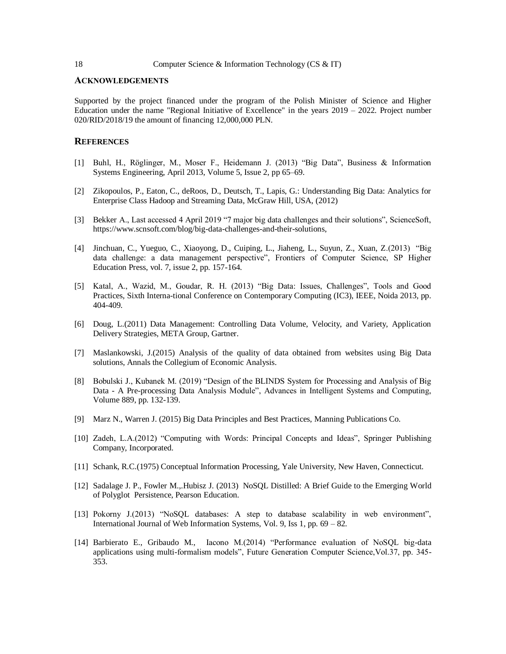#### **ACKNOWLEDGEMENTS**

Supported by the project financed under the program of the Polish Minister of Science and Higher Education under the name "Regional Initiative of Excellence" in the years 2019 – 2022. Project number 020/RID/2018/19 the amount of financing 12,000,000 PLN.

#### **REFERENCES**

- [1] Buhl, H., Röglinger, M., Moser F., Heidemann J. (2013) "Big Data", Business & Information Systems Engineering, April 2013, Volume 5, Issue 2, pp 65–69.
- [2] Zikopoulos, P., Eaton, C., deRoos, D., Deutsch, T., Lapis, G.: Understanding Big Data: Analytics for Enterprise Class Hadoop and Streaming Data, McGraw Hill, USA, (2012)
- [3] Bekker A., Last accessed 4 April 2019 "7 major big data challenges and their solutions", ScienceSoft, https://www.scnsoft.com/blog/big-data-challenges-and-their-solutions,
- [4] Jinchuan, C., Yueguo, C., Xiaoyong, D., Cuiping, L., Jiaheng, L., Suyun, Z., Xuan, Z.(2013) "Big data challenge: a data management perspective", Frontiers of Computer Science, SP Higher Education Press, vol. 7, issue 2, pp. 157-164.
- [5] Katal, A., Wazid, M., Goudar, R. H. (2013) "Big Data: Issues, Challenges", Tools and Good Practices, Sixth Interna-tional Conference on Contemporary Computing (IC3), IEEE, Noida 2013, pp. 404-409.
- [6] Doug, L.(2011) Data Management: Controlling Data Volume, Velocity, and Variety, Application Delivery Strategies, META Group, Gartner.
- [7] Maslankowski, J.(2015) Analysis of the quality of data obtained from websites using Big Data solutions, Annals the Collegium of Economic Analysis.
- [8] Bobulski J., Kubanek M. (2019) "Design of the BLINDS System for Processing and Analysis of Big Data - A Pre-processing Data Analysis Module", Advances in Intelligent Systems and Computing, Volume 889, pp. 132-139.
- [9] Marz N., Warren J. (2015) Big Data Principles and Best Practices, Manning Publications Co.
- [10] Zadeh, L.A.(2012) "Computing with Words: Principal Concepts and Ideas", Springer Publishing Company, Incorporated.
- [11] Schank, R.C.(1975) Conceptual Information Processing, Yale University, New Haven, Connecticut.
- [12] Sadalage J. P., Fowler M.,.Hubisz J. (2013) NoSQL Distilled: A Brief Guide to the Emerging World of Polyglot Persistence, Pearson Education.
- [13] Pokorny J.(2013) "NoSQL databases: A step to database scalability in web environment", International Journal of Web Information Systems, Vol. 9, Iss 1, pp. 69 – 82.
- [14] Barbierato E., Gribaudo M., Iacono M.(2014) "Performance evaluation of NoSQL big-data applications using multi-formalism models", Future Generation Computer Science,Vol.37, pp. 345- 353.